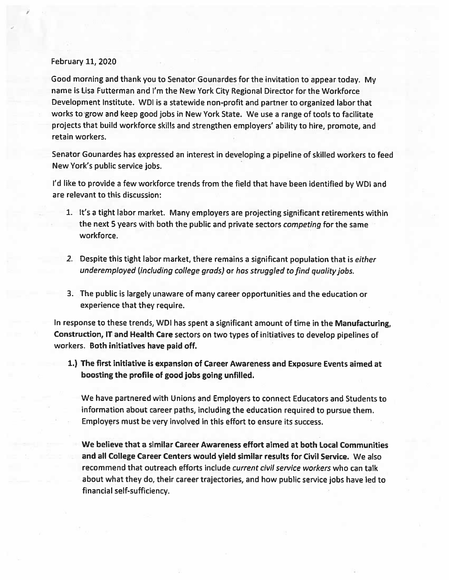## February 11, 2020

Good morning and thank you to Senator Gounardes for the invitation to appear today. My name is Lisa Futterman and I'm the New York City Regional Director for the Workforce Development Institute. WDI is <sup>a</sup> statewide non-profit and partner to organized labor that works to grow and keep good jobs in New York State. We use <sup>a</sup> range of tools to facilitate projects that build workforce skills and strengthen employers' ability to hire, promote, and retain workers.

Senator Gounardes has expressed an interest in developing <sup>a</sup> <sup>p</sup>ipeline of skilled workers to feed New York's public service jobs.

I'd like to provide <sup>a</sup> few workforce trends from the field that have been identified by WDI and are relevant to this discussion:

- 1. It's <sup>a</sup> tight labor market. Many employers are projecting significant retirements within the next 5 years with both the public and private sectors *competing* for the same workforce.
- 2. Despite this tight labor market, there remains a significant population that is either underemployed (including college grads) or has struggled to find quality jobs.
- 3. The public is largely unaware of many career opportunities and the education or experience that they require.

In response to these trends, WDI has spen<sup>t</sup> <sup>a</sup> significant amount of time in the Manufacturing, Construction, IT and Health Care sectors on two types of initiatives to develop <sup>p</sup>ipelines of workers. Both initiatives have paid off.

1.) The first initiative is expansion of Career Awareness and Exposure Events aimed at boosting the profile of good jobs going unfilled.

We have partnered with Unions and Employers to connect Educators and Students to information about career paths, including the education required to pursue them. Employers must be very involved in this effort to ensure its success.

We believe that <sup>a</sup> similar Career Awareness effort aimed at both Local Communities and all College Career Centers would yield similar results for Civil Service. We also recommend that outreach efforts include current civil service workers who can talk about what they do, their career trajectories, and how public service jobs have led to financial self-sufficiency.